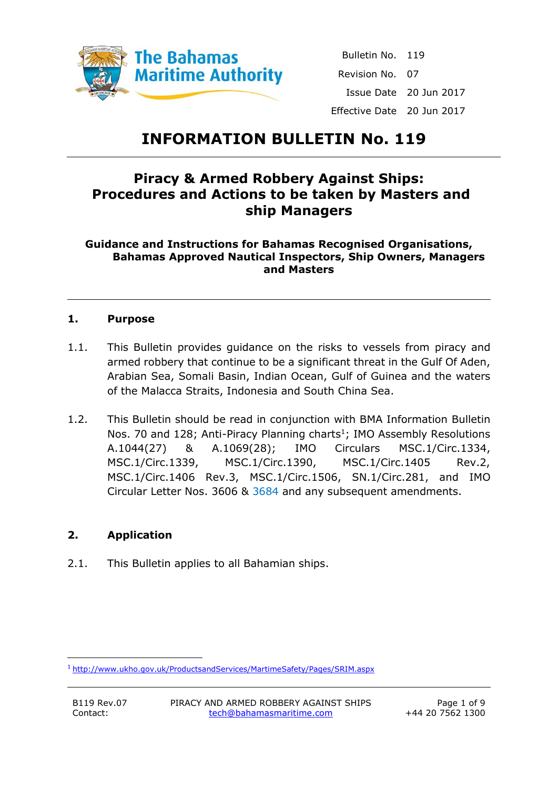

Bulletin No. 119 Revision No. 07 Issue Date 20 Jun 2017 Effective Date 20 Jun 2017

## **INFORMATION BULLETIN No. 119**

## **Piracy & Armed Robbery Against Ships: Procedures and Actions to be taken by Masters and ship Managers**

**Guidance and Instructions for Bahamas Recognised Organisations, Bahamas Approved Nautical Inspectors, Ship Owners, Managers and Masters**

## **1. Purpose**

- 1.1. This Bulletin provides guidance on the risks to vessels from piracy and armed robbery that continue to be a significant threat in the Gulf Of Aden, Arabian Sea, Somali Basin, Indian Ocean, Gulf of Guinea and the waters of the Malacca Straits, Indonesia and South China Sea.
- 1.2. This Bulletin should be read in conjunction with BMA Information Bulletin Nos. 70 and 128; Anti-Piracy Planning charts<sup>1</sup>; IMO Assembly Resolutions A.1044(27) & A.1069(28); IMO Circulars MSC.1/Circ.1334, MSC.1/Circ.1339, MSC.1/Circ.1390, MSC.1/Circ.1405 Rev.2, MSC.1/Circ.1406 Rev.3, MSC.1/Circ.1506, SN.1/Circ.281, and IMO Circular Letter Nos. 3606 & 3684 and any subsequent amendments.

## **2. Application**

2.1. This Bulletin applies to all Bahamian ships.

**.** 

<sup>1</sup> <http://www.ukho.gov.uk/ProductsandServices/MartimeSafety/Pages/SRIM.aspx>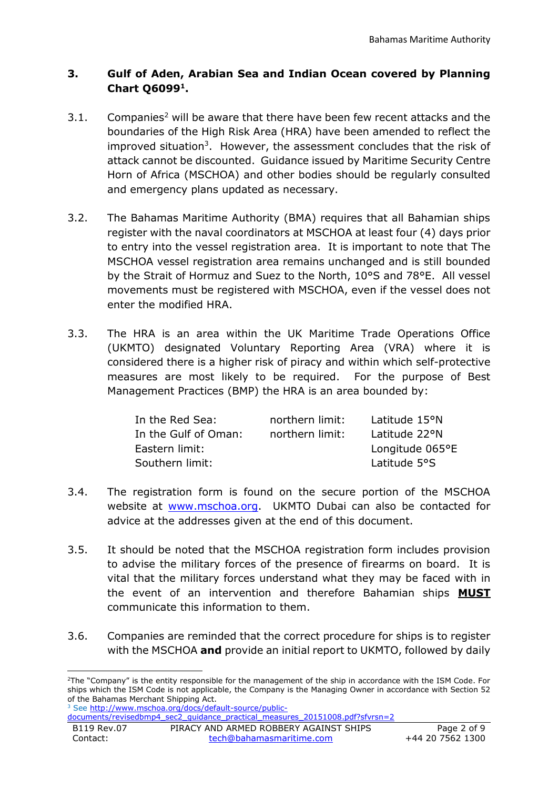## **3. Gulf of Aden, Arabian Sea and Indian Ocean covered by Planning Chart Q6099<sup>1</sup> .**

- 3.1. Companies<sup>2</sup> will be aware that there have been few recent attacks and the boundaries of the High Risk Area (HRA) have been amended to reflect the improved situation<sup>3</sup>. However, the assessment concludes that the risk of attack cannot be discounted. Guidance issued by Maritime Security Centre Horn of Africa (MSCHOA) and other bodies should be regularly consulted and emergency plans updated as necessary.
- 3.2. The Bahamas Maritime Authority (BMA) requires that all Bahamian ships register with the naval coordinators at MSCHOA at least four (4) days prior to entry into the vessel registration area. It is important to note that The MSCHOA vessel registration area remains unchanged and is still bounded by the Strait of Hormuz and Suez to the North, 10°S and 78°E. All vessel movements must be registered with MSCHOA, even if the vessel does not enter the modified HRA.
- 3.3. The HRA is an area within the UK Maritime Trade Operations Office (UKMTO) designated Voluntary Reporting Area (VRA) where it is considered there is a higher risk of piracy and within which self-protective measures are most likely to be required. For the purpose of Best Management Practices (BMP) the HRA is an area bounded by:

| In the Red Sea:      | northern limit: | Latitude 15°N   |
|----------------------|-----------------|-----------------|
| In the Gulf of Oman: | northern limit: | Latitude 22°N   |
| Eastern limit:       |                 | Longitude 065°E |
| Southern limit:      |                 | Latitude 5°S    |

- 3.4. The registration form is found on the secure portion of the MSCHOA website at [www.mschoa.org.](http://www.mschoa.org/) UKMTO Dubai can also be contacted for advice at the addresses given at the end of this document.
- 3.5. It should be noted that the MSCHOA registration form includes provision to advise the military forces of the presence of firearms on board. It is vital that the military forces understand what they may be faced with in the event of an intervention and therefore Bahamian ships **MUST** communicate this information to them.
- 3.6. Companies are reminded that the correct procedure for ships is to register with the MSCHOA **and** provide an initial report to UKMTO, followed by daily

[documents/revisedbmp4\\_sec2\\_guidance\\_practical\\_measures\\_20151008.pdf?sfvrsn=2](http://www.mschoa.org/docs/default-source/public-documents/revisedbmp4_sec2_guidance_practical_measures_20151008.pdf?sfvrsn=2)

**<sup>.</sup>** <sup>2</sup>The "Company" is the entity responsible for the management of the ship in accordance with the ISM Code. For ships which the ISM Code is not applicable, the Company is the Managing Owner in accordance with Section 52 of the Bahamas Merchant Shipping Act.

<sup>&</sup>lt;sup>3</sup> See [http://www.mschoa.org/docs/default-source/public-](http://www.mschoa.org/docs/default-source/public-documents/revisedbmp4_sec2_guidance_practical_measures_20151008.pdf?sfvrsn=2)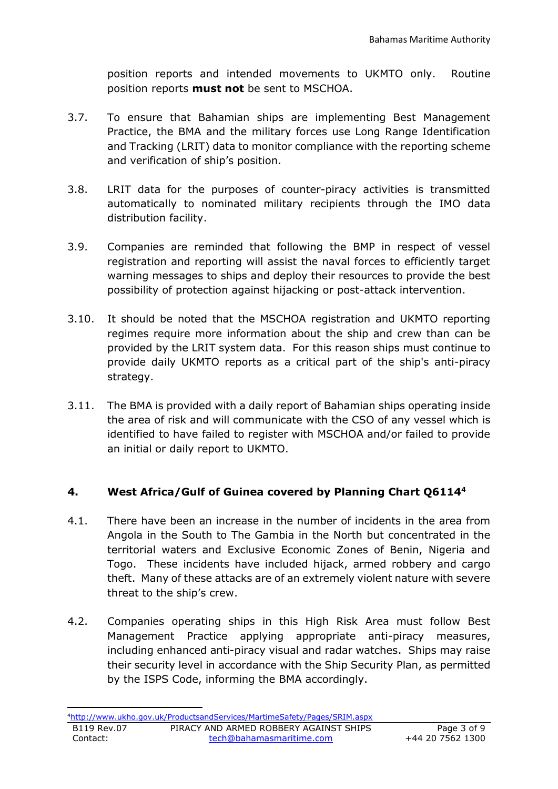position reports and intended movements to UKMTO only. Routine position reports **must not** be sent to MSCHOA.

- 3.7. To ensure that Bahamian ships are implementing Best Management Practice, the BMA and the military forces use Long Range Identification and Tracking (LRIT) data to monitor compliance with the reporting scheme and verification of ship's position.
- 3.8. LRIT data for the purposes of counter-piracy activities is transmitted automatically to nominated military recipients through the IMO data distribution facility.
- 3.9. Companies are reminded that following the BMP in respect of vessel registration and reporting will assist the naval forces to efficiently target warning messages to ships and deploy their resources to provide the best possibility of protection against hijacking or post-attack intervention.
- 3.10. It should be noted that the MSCHOA registration and UKMTO reporting regimes require more information about the ship and crew than can be provided by the LRIT system data. For this reason ships must continue to provide daily UKMTO reports as a critical part of the ship's anti-piracy strategy.
- 3.11. The BMA is provided with a daily report of Bahamian ships operating inside the area of risk and will communicate with the CSO of any vessel which is identified to have failed to register with MSCHOA and/or failed to provide an initial or daily report to UKMTO.

## **4. West Africa/Gulf of Guinea covered by Planning Chart Q6114<sup>4</sup>**

- 4.1. There have been an increase in the number of incidents in the area from Angola in the South to The Gambia in the North but concentrated in the territorial waters and Exclusive Economic Zones of Benin, Nigeria and Togo. These incidents have included hijack, armed robbery and cargo theft. Many of these attacks are of an extremely violent nature with severe threat to the ship's crew.
- 4.2. Companies operating ships in this High Risk Area must follow Best Management Practice applying appropriate anti-piracy measures, including enhanced anti-piracy visual and radar watches. Ships may raise their security level in accordance with the Ship Security Plan, as permitted by the ISPS Code, informing the BMA accordingly.

**.**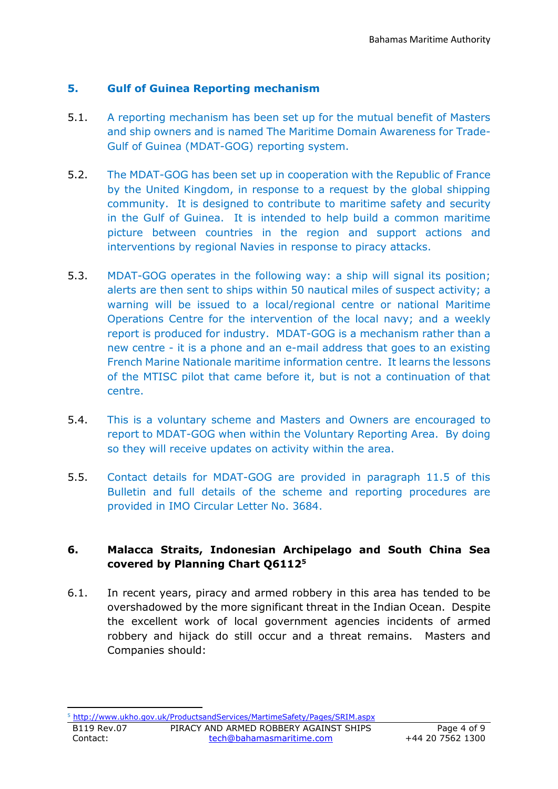## **5. Gulf of Guinea Reporting mechanism**

- 5.1. A reporting mechanism has been set up for the mutual benefit of Masters and ship owners and is named The Maritime Domain Awareness for Trade-Gulf of Guinea (MDAT-GOG) reporting system.
- 5.2. The MDAT-GOG has been set up in cooperation with the Republic of France by the United Kingdom, in response to a request by the global shipping community. It is designed to contribute to maritime safety and security in the Gulf of Guinea. It is intended to help build a common maritime picture between countries in the region and support actions and interventions by regional Navies in response to piracy attacks.
- 5.3. MDAT-GOG operates in the following way: a ship will signal its position; alerts are then sent to ships within 50 nautical miles of suspect activity; a warning will be issued to a local/regional centre or national Maritime Operations Centre for the intervention of the local navy; and a weekly report is produced for industry. MDAT-GOG is a mechanism rather than a new centre - it is a phone and an e-mail address that goes to an existing French Marine Nationale maritime information centre. It learns the lessons of the MTISC pilot that came before it, but is not a continuation of that centre.
- 5.4. This is a voluntary scheme and Masters and Owners are encouraged to report to MDAT-GOG when within the Voluntary Reporting Area. By doing so they will receive updates on activity within the area.
- 5.5. Contact details for MDAT-GOG are provided in paragraph 11.5 of this Bulletin and full details of the scheme and reporting procedures are provided in IMO Circular Letter No. 3684.

## **6. Malacca Straits, Indonesian Archipelago and South China Sea covered by Planning Chart Q6112<sup>5</sup>**

6.1. In recent years, piracy and armed robbery in this area has tended to be overshadowed by the more significant threat in the Indian Ocean. Despite the excellent work of local government agencies incidents of armed robbery and hijack do still occur and a threat remains. Masters and Companies should:

**.** <sup>5</sup> <http://www.ukho.gov.uk/ProductsandServices/MartimeSafety/Pages/SRIM.aspx>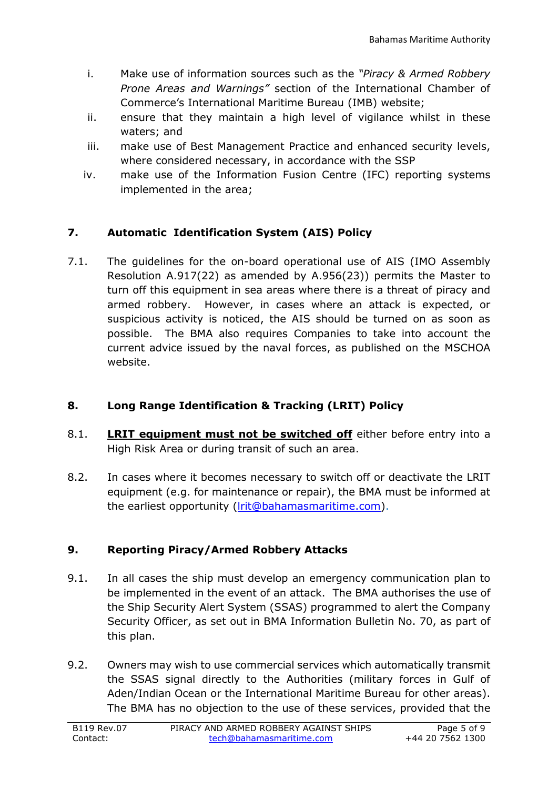- i. Make use of information sources such as the *"Piracy & Armed Robbery Prone Areas and Warnings"* section of the International Chamber of Commerce's International Maritime Bureau (IMB) website;
- ii. ensure that they maintain a high level of vigilance whilst in these waters; and
- iii. make use of Best Management Practice and enhanced security levels, where considered necessary, in accordance with the SSP
- iv. make use of the Information Fusion Centre (IFC) reporting systems implemented in the area;

## **7. Automatic Identification System (AIS) Policy**

7.1. The guidelines for the on-board operational use of AIS (IMO Assembly Resolution A.917(22) as amended by A.956(23)) permits the Master to turn off this equipment in sea areas where there is a threat of piracy and armed robbery. However, in cases where an attack is expected, or suspicious activity is noticed, the AIS should be turned on as soon as possible. The BMA also requires Companies to take into account the current advice issued by the naval forces, as published on the MSCHOA website.

## **8. Long Range Identification & Tracking (LRIT) Policy**

- 8.1. **LRIT equipment must not be switched off** either before entry into a High Risk Area or during transit of such an area.
- 8.2. In cases where it becomes necessary to switch off or deactivate the LRIT equipment (e.g. for maintenance or repair), the BMA must be informed at the earliest opportunity [\(lrit@bahamasmaritime.com\)](mailto:lrit@bahamasmaritime.com).

## **9. Reporting Piracy/Armed Robbery Attacks**

- 9.1. In all cases the ship must develop an emergency communication plan to be implemented in the event of an attack. The BMA authorises the use of the Ship Security Alert System (SSAS) programmed to alert the Company Security Officer, as set out in BMA Information Bulletin No. 70, as part of this plan.
- 9.2. Owners may wish to use commercial services which automatically transmit the SSAS signal directly to the Authorities (military forces in Gulf of Aden/Indian Ocean or the International Maritime Bureau for other areas). The BMA has no objection to the use of these services, provided that the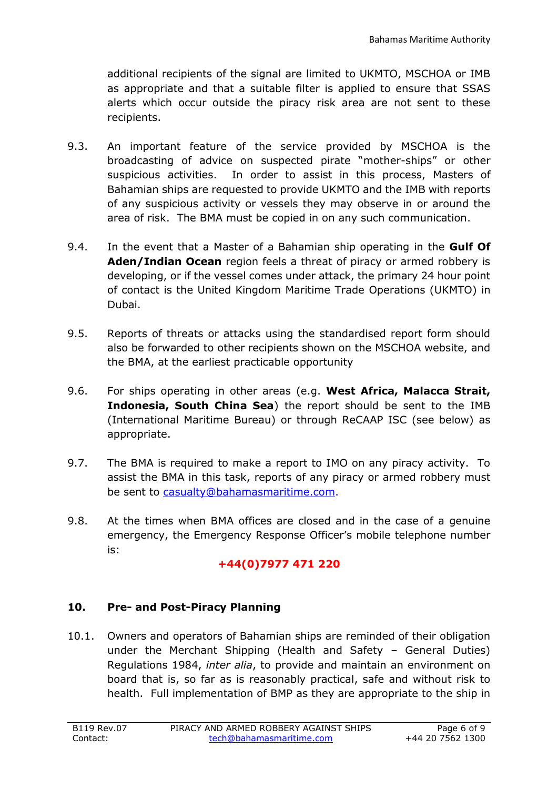additional recipients of the signal are limited to UKMTO, MSCHOA or IMB as appropriate and that a suitable filter is applied to ensure that SSAS alerts which occur outside the piracy risk area are not sent to these recipients.

- 9.3. An important feature of the service provided by MSCHOA is the broadcasting of advice on suspected pirate "mother-ships" or other suspicious activities. In order to assist in this process, Masters of Bahamian ships are requested to provide UKMTO and the IMB with reports of any suspicious activity or vessels they may observe in or around the area of risk. The BMA must be copied in on any such communication.
- 9.4. In the event that a Master of a Bahamian ship operating in the **Gulf Of Aden/Indian Ocean** region feels a threat of piracy or armed robbery is developing, or if the vessel comes under attack, the primary 24 hour point of contact is the United Kingdom Maritime Trade Operations (UKMTO) in Dubai.
- 9.5. Reports of threats or attacks using the standardised report form should also be forwarded to other recipients shown on the MSCHOA website, and the BMA, at the earliest practicable opportunity
- 9.6. For ships operating in other areas (e.g. **West Africa, Malacca Strait, Indonesia, South China Sea**) the report should be sent to the IMB (International Maritime Bureau) or through ReCAAP ISC (see below) as appropriate.
- 9.7. The BMA is required to make a report to IMO on any piracy activity. To assist the BMA in this task, reports of any piracy or armed robbery must be sent to [casualty@bahamasmaritime.com.](mailto:casualty@bahamasmaritime.com)
- 9.8. At the times when BMA offices are closed and in the case of a genuine emergency, the Emergency Response Officer's mobile telephone number is:

## **+44(0)7977 471 220**

## **10. Pre- and Post-Piracy Planning**

10.1. Owners and operators of Bahamian ships are reminded of their obligation under the Merchant Shipping (Health and Safety – General Duties) Regulations 1984, *inter alia*, to provide and maintain an environment on board that is, so far as is reasonably practical, safe and without risk to health. Full implementation of BMP as they are appropriate to the ship in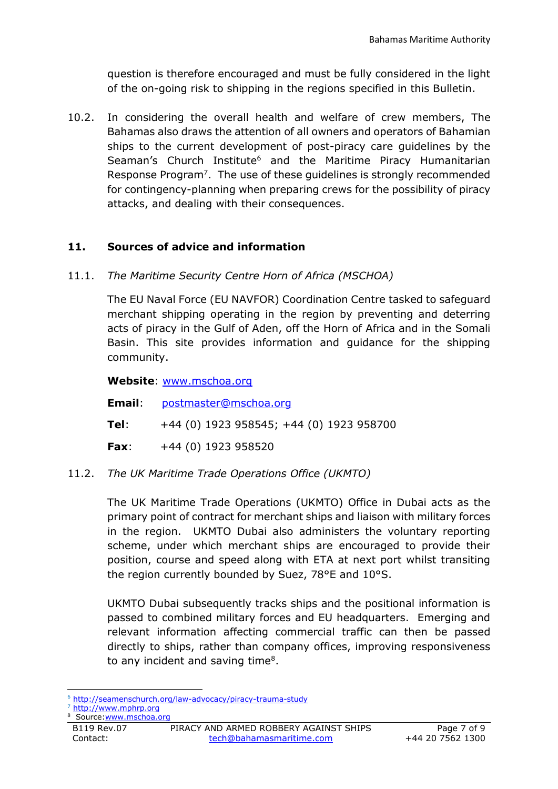question is therefore encouraged and must be fully considered in the light of the on-going risk to shipping in the regions specified in this Bulletin.

10.2. In considering the overall health and welfare of crew members, The Bahamas also draws the attention of all owners and operators of Bahamian ships to the current development of post-piracy care guidelines by the Seaman's Church Institute<sup>6</sup> and the Maritime Piracy Humanitarian Response Program<sup>7</sup>. The use of these guidelines is strongly recommended for contingency-planning when preparing crews for the possibility of piracy attacks, and dealing with their consequences.

## **11. Sources of advice and information**

11.1. *The Maritime Security Centre Horn of Africa (MSCHOA)*

The EU Naval Force (EU NAVFOR) Coordination Centre tasked to safeguard merchant shipping operating in the region by preventing and deterring acts of piracy in the Gulf of Aden, off the Horn of Africa and in the Somali Basin. This site provides information and guidance for the shipping community.

**Website**: [www.mschoa.org](http://www.mschoa.org/)

**Email**: [postmaster@mschoa.org](mailto:postmaster@mschoa.org)

- **Tel**: +44 (0) 1923 958545; +44 (0) 1923 958700
- **Fax**: +44 (0) 1923 958520

## 11.2. *The UK Maritime Trade Operations Office (UKMTO)*

The UK Maritime Trade Operations (UKMTO) Office in Dubai acts as the primary point of contract for merchant ships and liaison with military forces in the region. UKMTO Dubai also administers the voluntary reporting scheme, under which merchant ships are encouraged to provide their position, course and speed along with ETA at next port whilst transiting the region currently bounded by Suez, 78°E and 10°S.

UKMTO Dubai subsequently tracks ships and the positional information is passed to combined military forces and EU headquarters. Emerging and relevant information affecting commercial traffic can then be passed directly to ships, rather than company offices, improving responsiveness to any incident and saving time<sup>8</sup>.

[http://www.mphrp.org](http://www.mphrp.org/) 8

B119 Rev.07 PIRACY AND ARMED ROBBERY AGAINST SHIPS Page 7 of 9 Contact: [tech@bahamasmaritime.com](mailto:tech@bahamasmaritime.com) +44 20 7562 1300 Source: www.mschoa.org

**<sup>.</sup>** <sup>6</sup> <http://seamenschurch.org/law-advocacy/piracy-trauma-study>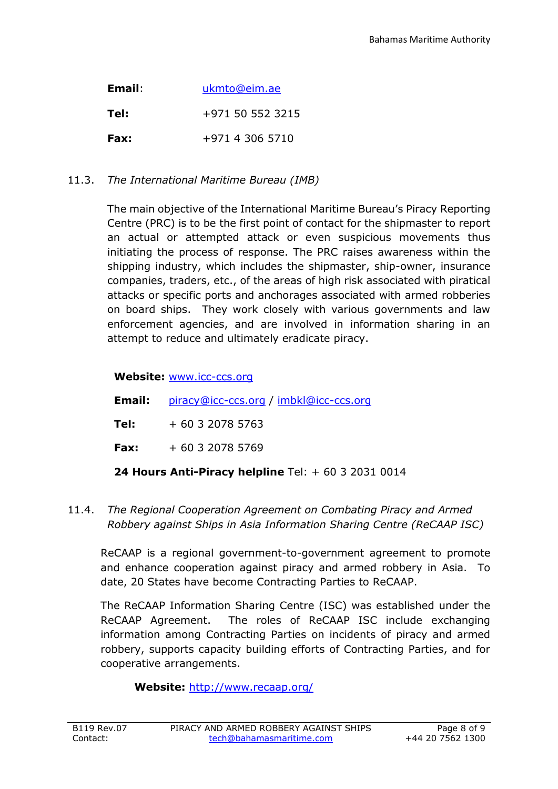| Email: | ukmto@eim.ae     |  |
|--------|------------------|--|
| Tel:   | +971 50 552 3215 |  |
| Fax:   | +971 4 306 5710  |  |

## 11.3. *The International Maritime Bureau (IMB)*

The main objective of the International Maritime Bureau's Piracy Reporting Centre (PRC) is to be the first point of contact for the shipmaster to report an actual or attempted attack or even suspicious movements thus initiating the process of response. The PRC raises awareness within the shipping industry, which includes the shipmaster, ship-owner, insurance companies, traders, etc., of the areas of high risk associated with piratical attacks or specific ports and anchorages associated with armed robberies on board ships. They work closely with various governments and law enforcement agencies, and are involved in information sharing in an attempt to reduce and ultimately eradicate piracy.

## **Website:** [www.icc-ccs.org](http://www.icc-ccs.org/)

|      | <b>Email:</b> piracy@icc-ccs.org / imbkl@icc-ccs.org |
|------|------------------------------------------------------|
| Tel: | + 60 3 2078 5763                                     |
|      | <b>Fax:</b> $+60320785769$                           |
|      |                                                      |

# **24 Hours Anti-Piracy helpline** Tel: + 60 3 2031 0014

11.4. *The Regional Cooperation Agreement on Combating Piracy and Armed Robbery against Ships in Asia Information Sharing Centre (ReCAAP ISC)*

ReCAAP is a regional government-to-government agreement to promote and enhance cooperation against piracy and armed robbery in Asia. To date, 20 States have become Contracting Parties to ReCAAP.

The ReCAAP Information Sharing Centre (ISC) was established under the ReCAAP Agreement. The roles of ReCAAP ISC include exchanging information among Contracting Parties on incidents of piracy and armed robbery, supports capacity building efforts of Contracting Parties, and for cooperative arrangements.

**Website:** <http://www.recaap.org/>